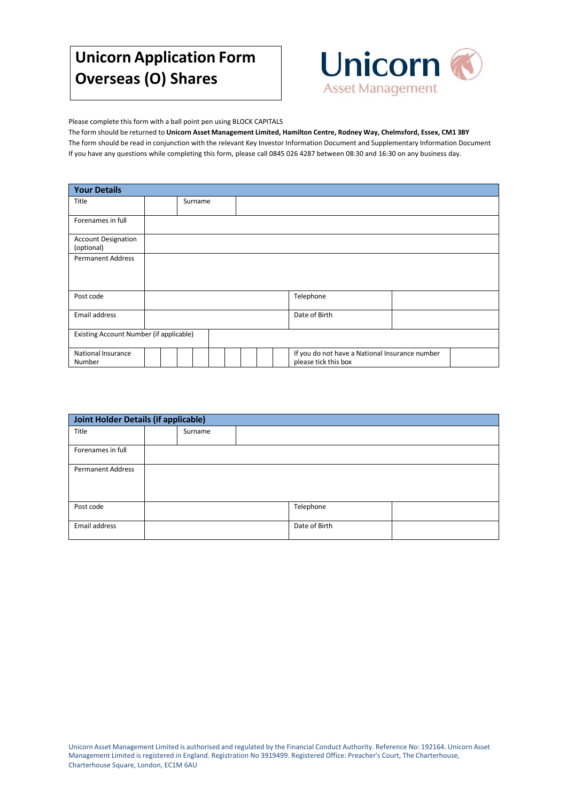# **Unicorn Application Form Overseas (O) Shares**



Please complete this form with a ball point pen using BLOCK CAPITALS

The form should be returned to **Unicorn Asset Management Limited, Hamilton Centre, Rodney Way, Chelmsford, Essex, CM1 3BY** The form should be read in conjunction with the relevant Key Investor Information Document and Supplementary Information Document If you have any questions while completing this form, please call 0845 026 4287 between 08:30 and 16:30 on any business day.

| <b>Your Details</b>                      |  |  |         |  |  |               |                                                                        |  |  |
|------------------------------------------|--|--|---------|--|--|---------------|------------------------------------------------------------------------|--|--|
| Title                                    |  |  | Surname |  |  |               |                                                                        |  |  |
| Forenames in full                        |  |  |         |  |  |               |                                                                        |  |  |
| <b>Account Designation</b><br>(optional) |  |  |         |  |  |               |                                                                        |  |  |
| <b>Permanent Address</b>                 |  |  |         |  |  |               |                                                                        |  |  |
| Post code                                |  |  |         |  |  |               | Telephone                                                              |  |  |
| Email address                            |  |  |         |  |  | Date of Birth |                                                                        |  |  |
| Existing Account Number (if applicable)  |  |  |         |  |  |               |                                                                        |  |  |
| <b>National Insurance</b><br>Number      |  |  |         |  |  |               | If you do not have a National Insurance number<br>please tick this box |  |  |

| <b>Joint Holder Details (if applicable)</b> |  |         |  |               |  |
|---------------------------------------------|--|---------|--|---------------|--|
| Title                                       |  | Surname |  |               |  |
| Forenames in full                           |  |         |  |               |  |
| <b>Permanent Address</b>                    |  |         |  |               |  |
| Post code                                   |  |         |  | Telephone     |  |
| Email address                               |  |         |  | Date of Birth |  |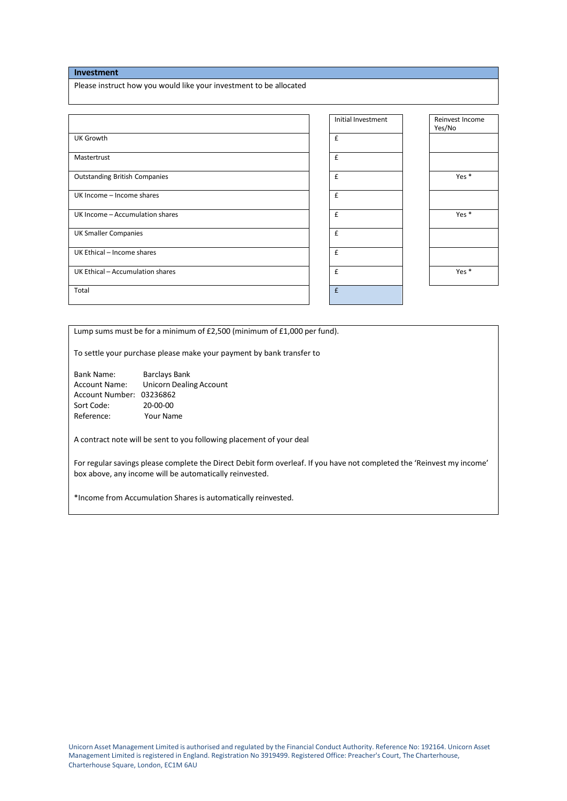# **Investment**

Please instruct how you would like your investment to be allocated

|                                      | Initial Investment | Reinvest Income<br>Yes/No |
|--------------------------------------|--------------------|---------------------------|
| <b>UK Growth</b>                     | £                  |                           |
| Mastertrust                          | £                  |                           |
| <b>Outstanding British Companies</b> | £                  | Yes $*$                   |
| UK Income - Income shares            | £                  |                           |
| UK Income - Accumulation shares      | $\pmb{\mathsf{f}}$ | Yes $*$                   |
| <b>UK Smaller Companies</b>          | £                  |                           |
| UK Ethical - Income shares           | £                  |                           |
| UK Ethical - Accumulation shares     | £                  | Yes *                     |
| Total                                | £                  |                           |

Lump sums must be for a minimum of £2,500 (minimum of £1,000 per fund).

To settle your purchase please make your payment by bank transfer to

Bank Name: Barclays Bank Account Name: Unicorn Dealing Account Account Number: 03236862 Sort Code: 20-00-00 Reference: Your Name

A contract note will be sent to you following placement of your deal

For regular savings please complete the Direct Debit form overleaf. If you have not completed the 'Reinvest my income' box above, any income will be automatically reinvested.

\*Income from Accumulation Shares is automatically reinvested.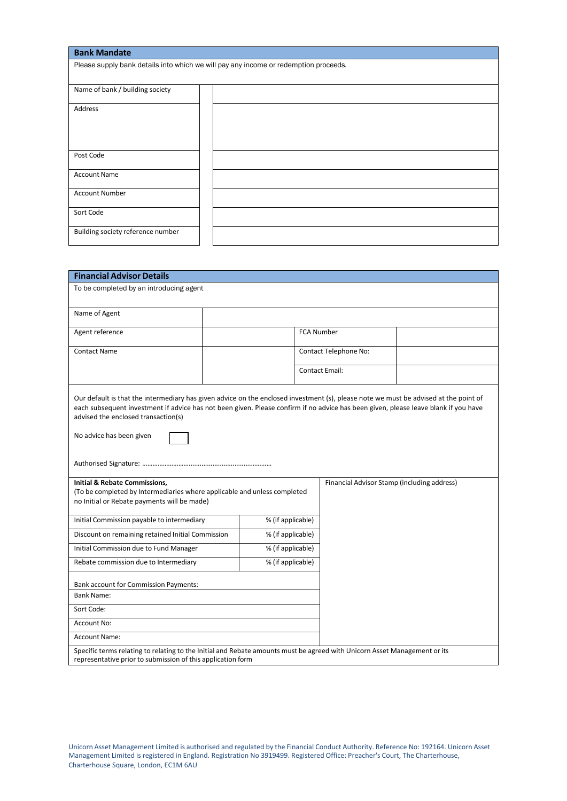| <b>Bank Mandate</b>               |                                                                                      |
|-----------------------------------|--------------------------------------------------------------------------------------|
|                                   | Please supply bank details into which we will pay any income or redemption proceeds. |
|                                   |                                                                                      |
| Name of bank / building society   |                                                                                      |
| Address                           |                                                                                      |
|                                   |                                                                                      |
|                                   |                                                                                      |
|                                   |                                                                                      |
| Post Code                         |                                                                                      |
| <b>Account Name</b>               |                                                                                      |
| <b>Account Number</b>             |                                                                                      |
|                                   |                                                                                      |
| Sort Code                         |                                                                                      |
|                                   |                                                                                      |
| Building society reference number |                                                                                      |
|                                   |                                                                                      |

| <b>Financial Advisor Details</b>                                                                                                                                                                                                                                                                                                               |                                                   |  |                       |                                             |  |  |
|------------------------------------------------------------------------------------------------------------------------------------------------------------------------------------------------------------------------------------------------------------------------------------------------------------------------------------------------|---------------------------------------------------|--|-----------------------|---------------------------------------------|--|--|
| To be completed by an introducing agent                                                                                                                                                                                                                                                                                                        |                                                   |  |                       |                                             |  |  |
|                                                                                                                                                                                                                                                                                                                                                |                                                   |  |                       |                                             |  |  |
| Name of Agent                                                                                                                                                                                                                                                                                                                                  |                                                   |  |                       |                                             |  |  |
| Agent reference                                                                                                                                                                                                                                                                                                                                |                                                   |  | <b>FCA Number</b>     |                                             |  |  |
| <b>Contact Name</b>                                                                                                                                                                                                                                                                                                                            |                                                   |  | Contact Telephone No: |                                             |  |  |
|                                                                                                                                                                                                                                                                                                                                                |                                                   |  |                       | <b>Contact Email:</b>                       |  |  |
| Our default is that the intermediary has given advice on the enclosed investment (s), please note we must be advised at the point of<br>each subsequent investment if advice has not been given. Please confirm if no advice has been given, please leave blank if you have<br>advised the enclosed transaction(s)<br>No advice has been given |                                                   |  |                       |                                             |  |  |
| <b>Initial &amp; Rebate Commissions,</b><br>(To be completed by Intermediaries where applicable and unless completed<br>no Initial or Rebate payments will be made)                                                                                                                                                                            |                                                   |  |                       | Financial Advisor Stamp (including address) |  |  |
| Initial Commission payable to intermediary                                                                                                                                                                                                                                                                                                     | % (if applicable)                                 |  |                       |                                             |  |  |
|                                                                                                                                                                                                                                                                                                                                                | Discount on remaining retained Initial Commission |  | % (if applicable)     |                                             |  |  |
| Initial Commission due to Fund Manager                                                                                                                                                                                                                                                                                                         | % (if applicable)                                 |  |                       |                                             |  |  |
| Rebate commission due to Intermediary                                                                                                                                                                                                                                                                                                          | % (if applicable)                                 |  |                       |                                             |  |  |
| <b>Bank account for Commission Payments:</b>                                                                                                                                                                                                                                                                                                   |                                                   |  |                       |                                             |  |  |
| <b>Bank Name:</b>                                                                                                                                                                                                                                                                                                                              |                                                   |  |                       |                                             |  |  |
| Sort Code:                                                                                                                                                                                                                                                                                                                                     |                                                   |  |                       |                                             |  |  |
| Account No:                                                                                                                                                                                                                                                                                                                                    |                                                   |  |                       |                                             |  |  |
| <b>Account Name:</b>                                                                                                                                                                                                                                                                                                                           |                                                   |  |                       |                                             |  |  |
| Specific terms relating to relating to the Initial and Rebate amounts must be agreed with Unicorn Asset Management or its<br>representative prior to submission of this application form                                                                                                                                                       |                                                   |  |                       |                                             |  |  |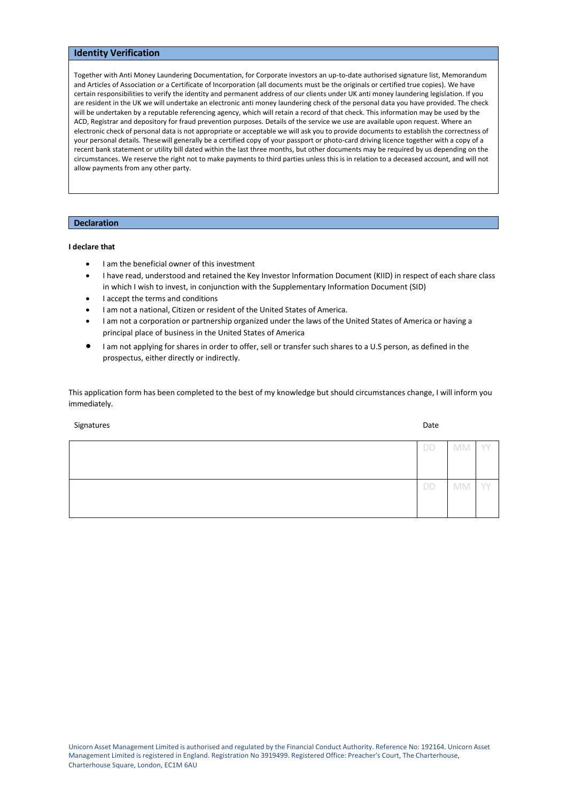# **Identity Verification**

Together with Anti Money Laundering Documentation, for Corporate investors an up-to-date authorised signature list, Memorandum and Articles of Association or a Certificate of Incorporation (all documents must be the originals or certified true copies). We have certain responsibilities to verify the identity and permanent address of our clients under UK anti money laundering legislation. If you are resident in the UK we will undertake an electronic anti money laundering check of the personal data you have provided. The check will be undertaken by a reputable referencing agency, which will retain a record of that check. This information may be used by the ACD, Registrar and depository for fraud prevention purposes. Details of the service we use are available upon request. Where an electronic check of personal data is not appropriate or acceptable we will ask you to provide documents to establish the correctness of your personal details. Thesewill generally be a certified copy of your passport or photo-card driving licence together with a copy of a recent bank statement or utility bill dated within the last three months, but other documents may be required by us depending on the circumstances. We reserve the right not to make payments to third parties unless this is in relation to a deceased account, and will not allow payments from any other party.

### **Declaration**

#### **I declare that**

- I am the beneficial owner of this investment
- I have read, understood and retained the Key Investor Information Document (KIID) in respect of each share class in which I wish to invest, in conjunction with the Supplementary Information Document (SID)
- I accept the terms and conditions
- I am not a national, Citizen or resident of the United States of America.
- I am not a corporation or partnership organized under the laws of the United States of America or having a principal place of business in the United States of America
- I am not applying for shares in order to offer, sell or transfer such shares to a U.S person, as defined in the prospectus, either directly or indirectly.

This application form has been completed to the best of my knowledge but should circumstances change, I will inform you immediately.

Signatures **Date of the Contract of the Contract of the Contract of the Contract of the Contract of the Contract of the Contract of the Contract of the Contract of the Contract of the Contract of the Contract of the Contra** 

| <b>DD</b> | MM YY     |      |
|-----------|-----------|------|
|           |           |      |
|           |           |      |
|           |           |      |
| DD        | <b>MM</b> | - YY |
|           |           |      |
|           |           |      |
|           |           |      |
|           |           |      |